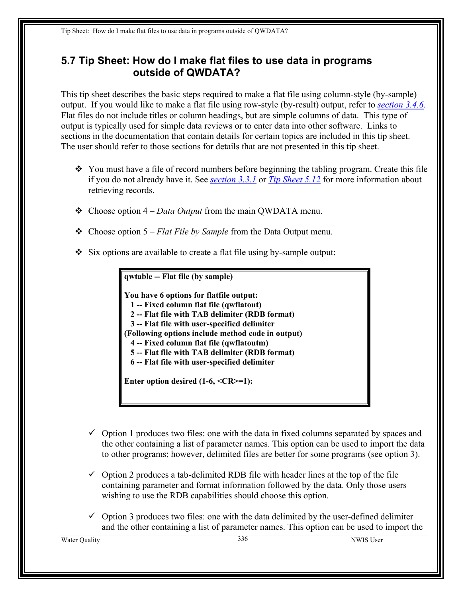## <span id="page-0-0"></span>**5.7 Tip Sheet: How do I make flat files to use data in programs outside of QWDATA?**

This tip sheet describes the basic steps required to make a flat file using column-style (by-sample) output. If you would like to make a flat file using row-style (by-result) output, refer to *[section 3.4.6](#page-25-0)*. Flat files do not include titles or column headings, but are simple columns of data. This type of output is typically used for simple data reviews or to enter data into other software. Links to sections in the documentation that contain details for certain topics are included in this tip sheet. The user should refer to those sections for details that are not presented in this tip sheet.

- You must have a file of record numbers before beginning the tabling program. Create this file if you do not already have it. See *section 3.3.1* or *Tip Sheet 5.12* for more information about retrieving records.
- Choose option 4 *Data Output* from the main QWDATA menu.
- Choose option 5 *Flat File by Sample* from the Data Output menu.
- $\div$  Six options are available to create a flat file using by-sample output:

**qwtable -- Flat file (by sample) You have 6 options for flatfile output: 1 -- Fixed column flat file (qwflatout) 2 -- Flat file with TAB delimiter (RDB format) 3 -- Flat file with user-specified delimiter (Following options include method code in output) 4 -- Fixed column flat file (qwflatoutm) 5 -- Flat file with TAB delimiter (RDB format) 6 -- Flat file with user-specified delimiter Enter option desired (1-6, <CR>=1):** 

- $\checkmark$  Option 1 produces two files: one with the data in fixed columns separated by spaces and the other containing a list of parameter names. This option can be used to import the data to other programs; however, delimited files are better for some programs (see option 3).
- $\checkmark$  Option 2 produces a tab-delimited RDB file with header lines at the top of the file containing parameter and format information followed by the data. Only those users wishing to use the RDB capabilities should choose this option.
- $\checkmark$  Option 3 produces two files: one with the data delimited by the user-defined delimiter and the other containing a list of parameter names. This option can be used to import the

Water Quality 336 NWIS User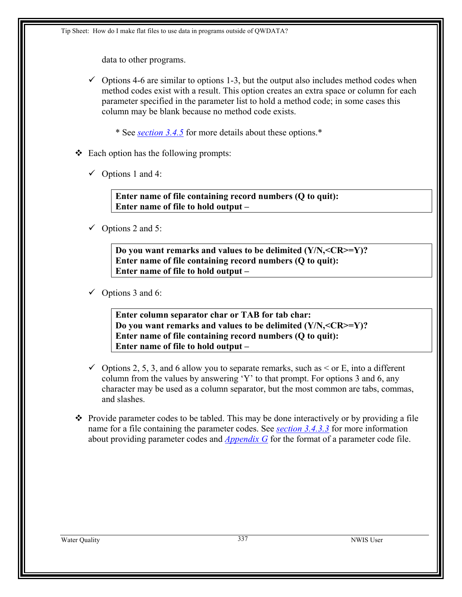data to other programs.

 $\checkmark$  Options 4-6 are similar to options 1-3, but the output also includes method codes when method codes exist with a result. This option creates an extra space or column for each parameter specified in the parameter list to hold a method code; in some cases this column may be blank because no method code exists.

\* See *[section 3.4.5](#page-23-0)* for more details about these options.\*

- $\triangleleft$  Each option has the following prompts:
	- $\checkmark$  Options 1 and 4:

**Enter name of file containing record numbers (Q to quit): Enter name of file to hold output –** 

 $\checkmark$  Options 2 and 5:

**Do you want remarks and values to be delimited (Y/N,<CR>=Y)? Enter name of file containing record numbers (Q to quit): Enter name of file to hold output –** 

 $\checkmark$  Options 3 and 6:

**Enter column separator char or TAB for tab char: Do you want remarks and values to be delimited (Y/N,<CR>=Y)? Enter name of file containing record numbers (Q to quit): Enter name of file to hold output –** 

- $\checkmark$  Options 2, 5, 3, and 6 allow you to separate remarks, such as  $\checkmark$  or E, into a different column from the values by answering 'Y' to that prompt. For options 3 and 6, any character may be used as a column separator, but the most common are tabs, commas, and slashes.
- $\triangle$  Provide parameter codes to be tabled. This may be done interactively or by providing a file name for a file containing the parameter codes. See *[section 3.4.3.3](#page-8-0)* for more information about providing parameter codes and *[Appendix G](#page-0-0)* for the format of a parameter code file.

Water Quality 337 NWIS User